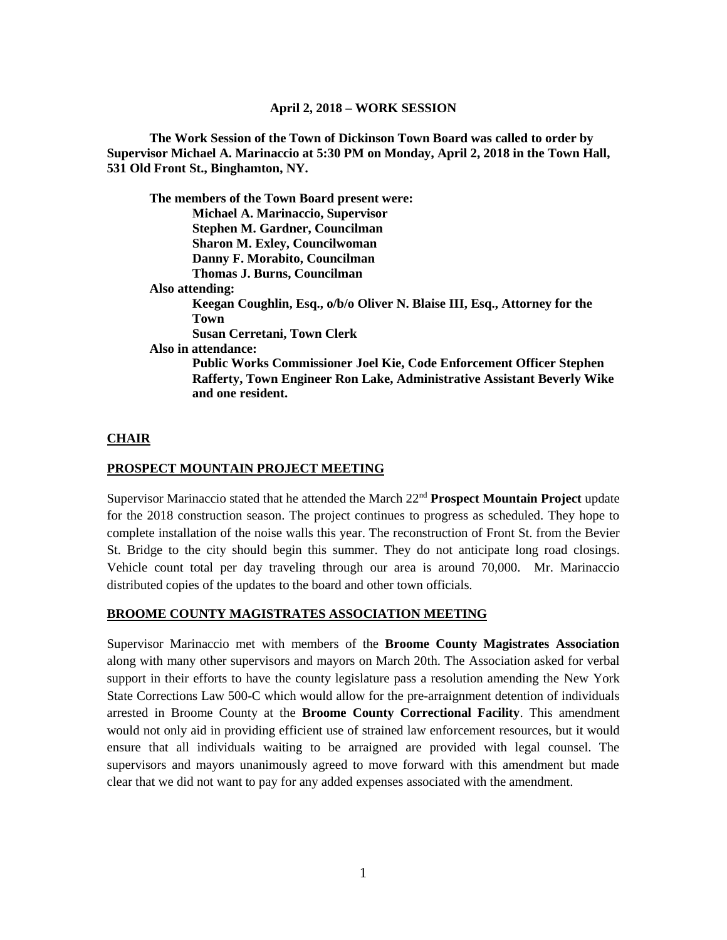### **April 2, 2018 – WORK SESSION**

**The Work Session of the Town of Dickinson Town Board was called to order by Supervisor Michael A. Marinaccio at 5:30 PM on Monday, April 2, 2018 in the Town Hall, 531 Old Front St., Binghamton, NY.**

|                 | The members of the Town Board present were:                                 |
|-----------------|-----------------------------------------------------------------------------|
|                 | <b>Michael A. Marinaccio, Supervisor</b>                                    |
|                 | Stephen M. Gardner, Councilman                                              |
|                 | <b>Sharon M. Exley, Councilwoman</b>                                        |
|                 | Danny F. Morabito, Councilman                                               |
|                 | <b>Thomas J. Burns, Councilman</b>                                          |
| Also attending: |                                                                             |
|                 | Keegan Coughlin, Esq., o/b/o Oliver N. Blaise III, Esq., Attorney for the   |
|                 | Town                                                                        |
|                 | Susan Cerretani, Town Clerk                                                 |
|                 | Also in attendance:                                                         |
|                 | <b>Public Works Commissioner Joel Kie, Code Enforcement Officer Stephen</b> |
|                 | Rafferty, Town Engineer Ron Lake, Administrative Assistant Beverly Wike     |
|                 | and one resident.                                                           |

#### **CHAIR**

#### **PROSPECT MOUNTAIN PROJECT MEETING**

Supervisor Marinaccio stated that he attended the March 22nd **Prospect Mountain Project** update for the 2018 construction season. The project continues to progress as scheduled. They hope to complete installation of the noise walls this year. The reconstruction of Front St. from the Bevier St. Bridge to the city should begin this summer. They do not anticipate long road closings. Vehicle count total per day traveling through our area is around 70,000. Mr. Marinaccio distributed copies of the updates to the board and other town officials.

### **BROOME COUNTY MAGISTRATES ASSOCIATION MEETING**

Supervisor Marinaccio met with members of the **Broome County Magistrates Association** along with many other supervisors and mayors on March 20th. The Association asked for verbal support in their efforts to have the county legislature pass a resolution amending the New York State Corrections Law 500-C which would allow for the pre-arraignment detention of individuals arrested in Broome County at the **Broome County Correctional Facility**. This amendment would not only aid in providing efficient use of strained law enforcement resources, but it would ensure that all individuals waiting to be arraigned are provided with legal counsel. The supervisors and mayors unanimously agreed to move forward with this amendment but made clear that we did not want to pay for any added expenses associated with the amendment.